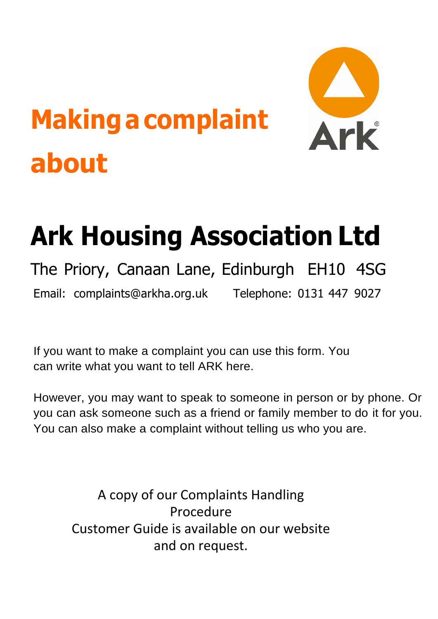# **Makingacomplaint about**



## **Ark Housing Association Ltd**

#### The Priory, Canaan Lane, Edinburgh EH10 4SG Email: [complaints@arkha.org.uk Te](mailto:complaints@arkha.org.uk)lephone: 0131 447 9027

If you want to make a complaint you can use this form. You can write what you want to tell ARK here.

However, you may want to speak to someone in person or by phone. Or you can ask someone such as a friend or family member to do it for you. You can also make a complaint without telling us who you are.

A copy of our Complaints Handling Procedure Customer Guide is available on our website and on request.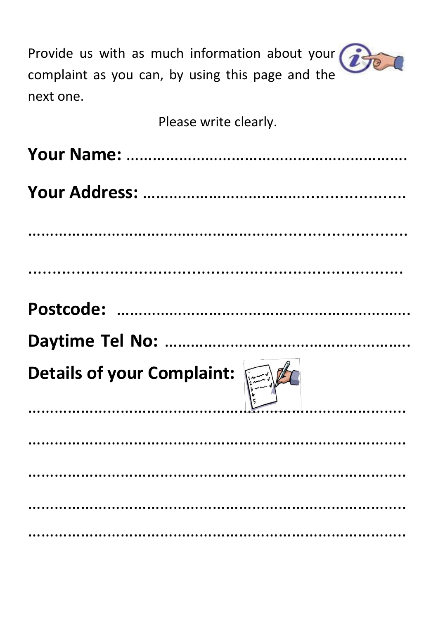| Provide us with as much information about your $\bigcirc$<br>complaint as you can, by using this page and the<br>next one. |
|----------------------------------------------------------------------------------------------------------------------------|
| Please write clearly.                                                                                                      |
|                                                                                                                            |
|                                                                                                                            |
|                                                                                                                            |
|                                                                                                                            |
|                                                                                                                            |
| $\alpha$<br>Details of your Complaint:                                                                                     |
|                                                                                                                            |
|                                                                                                                            |
|                                                                                                                            |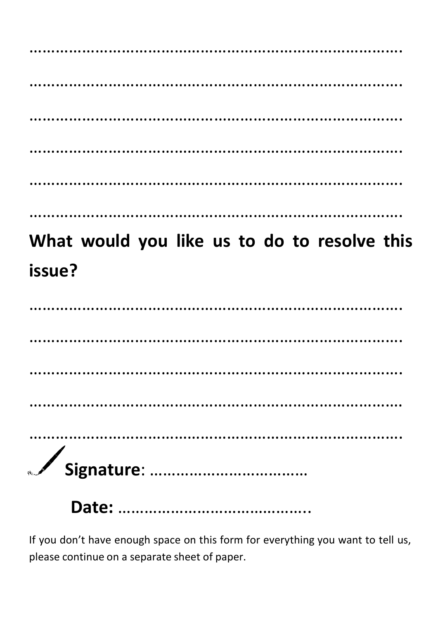………………………………………………………………………………… ……………………………………………………………………………………… …………………………………………………………………………………… …………………………………………………………………………………… …………………………………………………………………………. …………………………………………………………………………………………

### **What would you like us to do to resolve this issue?**

**Date:** ……………………………………..

If you don't have enough space on this form for everything you want to tell us, please continue on a separate sheet of paper.